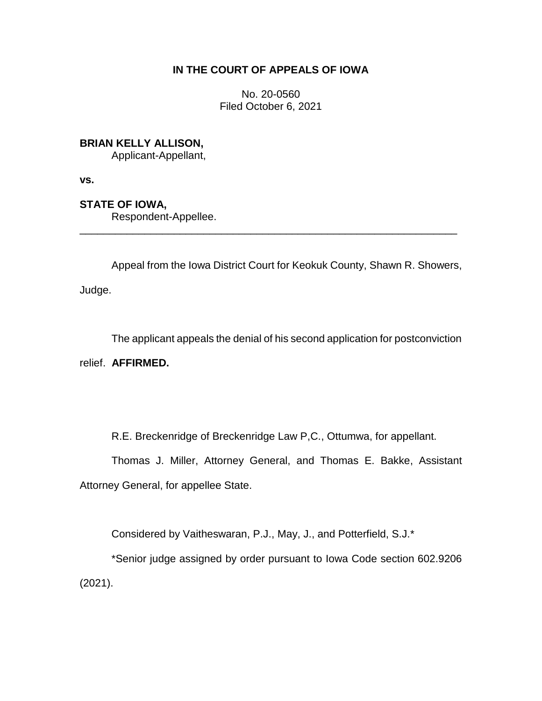# **IN THE COURT OF APPEALS OF IOWA**

No. 20-0560 Filed October 6, 2021

# **BRIAN KELLY ALLISON,**

Applicant-Appellant,

**vs.**

# **STATE OF IOWA,**

Respondent-Appellee.

Appeal from the Iowa District Court for Keokuk County, Shawn R. Showers,

\_\_\_\_\_\_\_\_\_\_\_\_\_\_\_\_\_\_\_\_\_\_\_\_\_\_\_\_\_\_\_\_\_\_\_\_\_\_\_\_\_\_\_\_\_\_\_\_\_\_\_\_\_\_\_\_\_\_\_\_\_\_\_\_

Judge.

The applicant appeals the denial of his second application for postconviction

relief. **AFFIRMED.** 

R.E. Breckenridge of Breckenridge Law P,C., Ottumwa, for appellant.

Thomas J. Miller, Attorney General, and Thomas E. Bakke, Assistant Attorney General, for appellee State.

Considered by Vaitheswaran, P.J., May, J., and Potterfield, S.J.\*

\*Senior judge assigned by order pursuant to Iowa Code section 602.9206 (2021).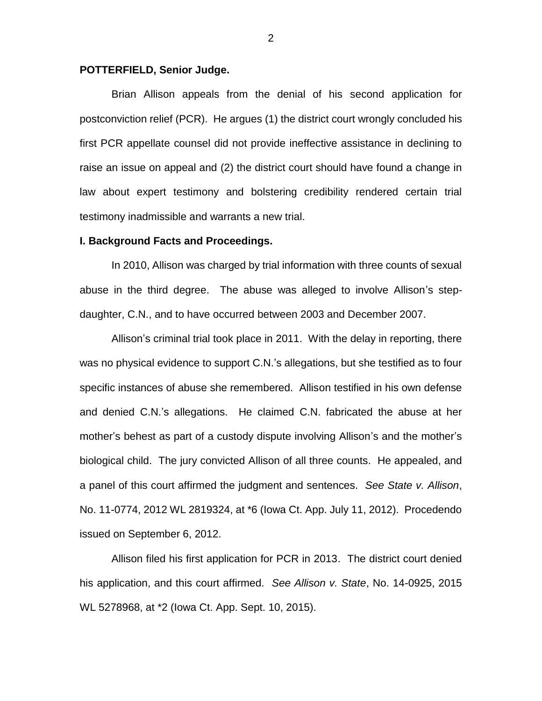## **POTTERFIELD, Senior Judge.**

Brian Allison appeals from the denial of his second application for postconviction relief (PCR). He argues (1) the district court wrongly concluded his first PCR appellate counsel did not provide ineffective assistance in declining to raise an issue on appeal and (2) the district court should have found a change in law about expert testimony and bolstering credibility rendered certain trial testimony inadmissible and warrants a new trial.

## **I. Background Facts and Proceedings.**

In 2010, Allison was charged by trial information with three counts of sexual abuse in the third degree. The abuse was alleged to involve Allison's stepdaughter, C.N., and to have occurred between 2003 and December 2007.

Allison's criminal trial took place in 2011. With the delay in reporting, there was no physical evidence to support C.N.'s allegations, but she testified as to four specific instances of abuse she remembered. Allison testified in his own defense and denied C.N.'s allegations. He claimed C.N. fabricated the abuse at her mother's behest as part of a custody dispute involving Allison's and the mother's biological child. The jury convicted Allison of all three counts. He appealed, and a panel of this court affirmed the judgment and sentences. *See State v. Allison*, No. 11-0774, 2012 WL 2819324, at \*6 (Iowa Ct. App. July 11, 2012). Procedendo issued on September 6, 2012.

Allison filed his first application for PCR in 2013. The district court denied his application, and this court affirmed. *See Allison v. State*, No. 14-0925, 2015 WL 5278968, at \*2 (Iowa Ct. App. Sept. 10, 2015).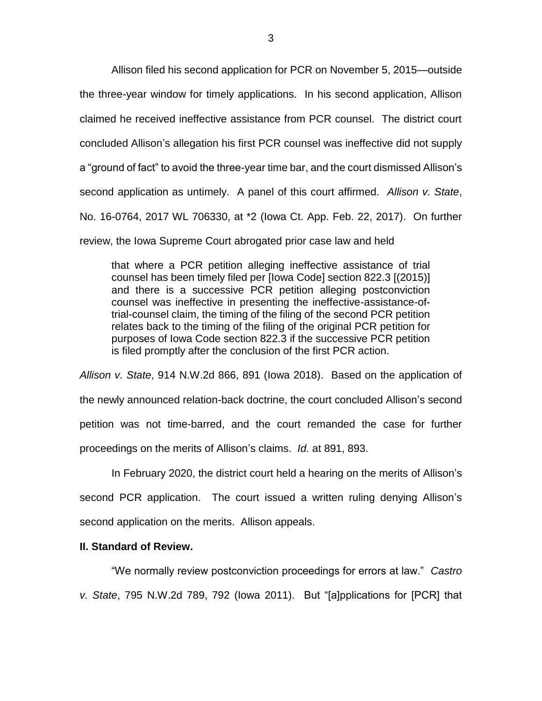Allison filed his second application for PCR on November 5, 2015—outside the three-year window for timely applications. In his second application, Allison claimed he received ineffective assistance from PCR counsel. The district court concluded Allison's allegation his first PCR counsel was ineffective did not supply a "ground of fact" to avoid the three-year time bar, and the court dismissed Allison's second application as untimely. A panel of this court affirmed. *Allison v. State*, No. 16-0764, 2017 WL 706330, at \*2 (Iowa Ct. App. Feb. 22, 2017). On further review, the Iowa Supreme Court abrogated prior case law and held

that where a PCR petition alleging ineffective assistance of trial counsel has been timely filed per [Iowa Code] section 822.3 [(2015)] and there is a successive PCR petition alleging postconviction counsel was ineffective in presenting the ineffective-assistance-oftrial-counsel claim, the timing of the filing of the second PCR petition relates back to the timing of the filing of the original PCR petition for purposes of Iowa Code section 822.3 if the successive PCR petition is filed promptly after the conclusion of the first PCR action.

*Allison v. State*, 914 N.W.2d 866, 891 (Iowa 2018). Based on the application of the newly announced relation-back doctrine, the court concluded Allison's second petition was not time-barred, and the court remanded the case for further proceedings on the merits of Allison's claims. *Id.* at 891, 893.

In February 2020, the district court held a hearing on the merits of Allison's second PCR application. The court issued a written ruling denying Allison's second application on the merits. Allison appeals.

## **II. Standard of Review.**

"We normally review postconviction proceedings for errors at law." *Castro v. State*, 795 N.W.2d 789, 792 (Iowa 2011). But "[a]pplications for [PCR] that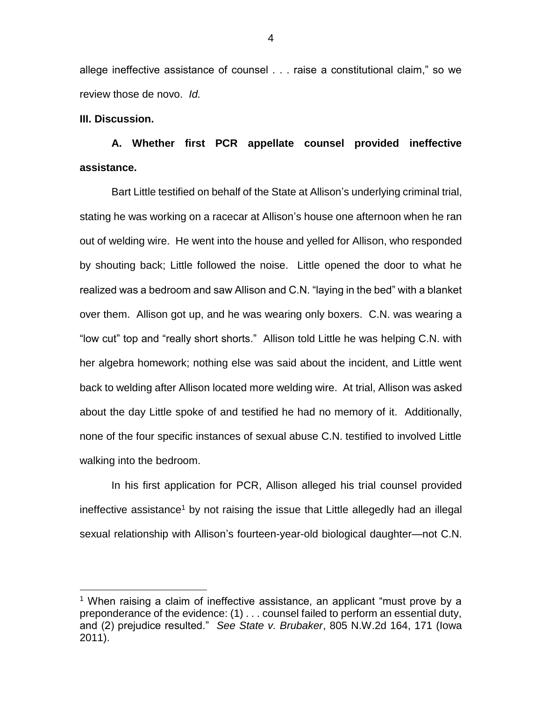allege ineffective assistance of counsel . . . raise a constitutional claim," so we review those de novo. *Id.* 

## **III. Discussion.**

 $\overline{a}$ 

**A. Whether first PCR appellate counsel provided ineffective assistance.**

Bart Little testified on behalf of the State at Allison's underlying criminal trial, stating he was working on a racecar at Allison's house one afternoon when he ran out of welding wire. He went into the house and yelled for Allison, who responded by shouting back; Little followed the noise. Little opened the door to what he realized was a bedroom and saw Allison and C.N. "laying in the bed" with a blanket over them. Allison got up, and he was wearing only boxers. C.N. was wearing a "low cut" top and "really short shorts." Allison told Little he was helping C.N. with her algebra homework; nothing else was said about the incident, and Little went back to welding after Allison located more welding wire. At trial, Allison was asked about the day Little spoke of and testified he had no memory of it. Additionally, none of the four specific instances of sexual abuse C.N. testified to involved Little walking into the bedroom.

In his first application for PCR, Allison alleged his trial counsel provided ineffective assistance<sup>1</sup> by not raising the issue that Little allegedly had an illegal sexual relationship with Allison's fourteen-year-old biological daughter—not C.N.

<sup>&</sup>lt;sup>1</sup> When raising a claim of ineffective assistance, an applicant "must prove by a preponderance of the evidence: (1) . . . counsel failed to perform an essential duty, and (2) prejudice resulted." *See State v. Brubaker*, 805 N.W.2d 164, 171 (Iowa 2011).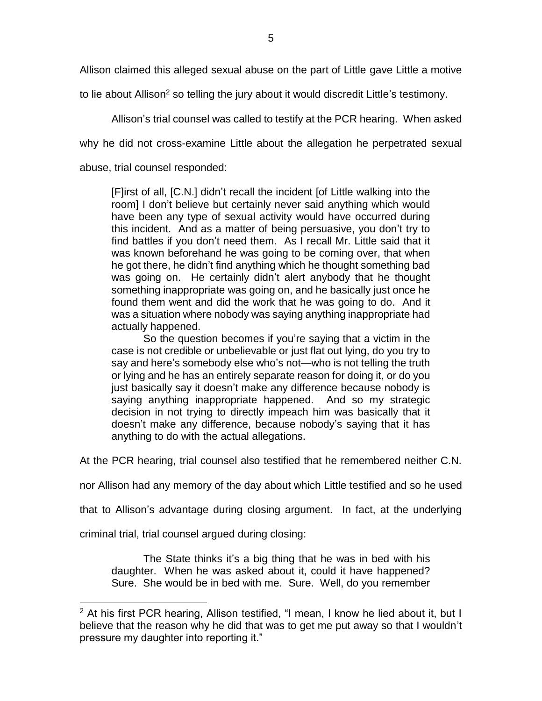Allison claimed this alleged sexual abuse on the part of Little gave Little a motive

to lie about Allison<sup>2</sup> so telling the jury about it would discredit Little's testimony.

Allison's trial counsel was called to testify at the PCR hearing. When asked

why he did not cross-examine Little about the allegation he perpetrated sexual

abuse, trial counsel responded:

[F]irst of all, [C.N.] didn't recall the incident [of Little walking into the room] I don't believe but certainly never said anything which would have been any type of sexual activity would have occurred during this incident. And as a matter of being persuasive, you don't try to find battles if you don't need them. As I recall Mr. Little said that it was known beforehand he was going to be coming over, that when he got there, he didn't find anything which he thought something bad was going on. He certainly didn't alert anybody that he thought something inappropriate was going on, and he basically just once he found them went and did the work that he was going to do. And it was a situation where nobody was saying anything inappropriate had actually happened.

So the question becomes if you're saying that a victim in the case is not credible or unbelievable or just flat out lying, do you try to say and here's somebody else who's not—who is not telling the truth or lying and he has an entirely separate reason for doing it, or do you just basically say it doesn't make any difference because nobody is saying anything inappropriate happened. And so my strategic decision in not trying to directly impeach him was basically that it doesn't make any difference, because nobody's saying that it has anything to do with the actual allegations.

At the PCR hearing, trial counsel also testified that he remembered neither C.N.

nor Allison had any memory of the day about which Little testified and so he used

that to Allison's advantage during closing argument. In fact, at the underlying

criminal trial, trial counsel argued during closing:

 $\overline{a}$ 

The State thinks it's a big thing that he was in bed with his daughter. When he was asked about it, could it have happened? Sure. She would be in bed with me. Sure. Well, do you remember

 $2$  At his first PCR hearing, Allison testified, "I mean, I know he lied about it, but I believe that the reason why he did that was to get me put away so that I wouldn't pressure my daughter into reporting it."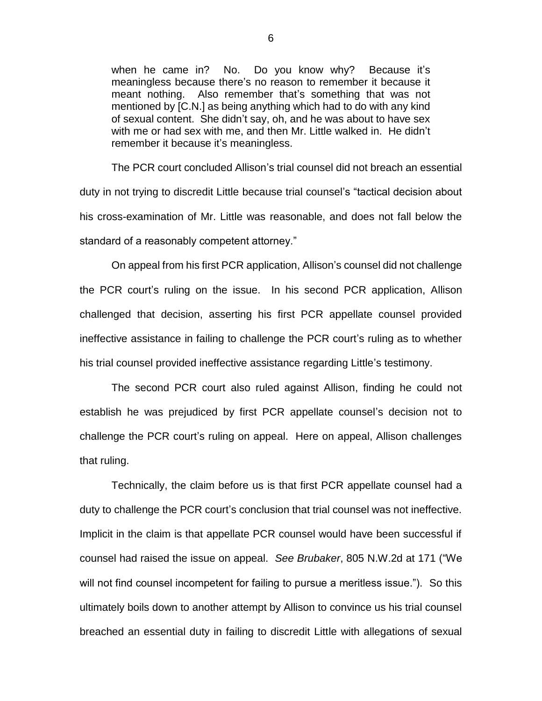when he came in? No. Do you know why? Because it's meaningless because there's no reason to remember it because it meant nothing. Also remember that's something that was not mentioned by [C.N.] as being anything which had to do with any kind of sexual content. She didn't say, oh, and he was about to have sex with me or had sex with me, and then Mr. Little walked in. He didn't remember it because it's meaningless.

The PCR court concluded Allison's trial counsel did not breach an essential duty in not trying to discredit Little because trial counsel's "tactical decision about his cross-examination of Mr. Little was reasonable, and does not fall below the standard of a reasonably competent attorney."

On appeal from his first PCR application, Allison's counsel did not challenge the PCR court's ruling on the issue. In his second PCR application, Allison challenged that decision, asserting his first PCR appellate counsel provided ineffective assistance in failing to challenge the PCR court's ruling as to whether his trial counsel provided ineffective assistance regarding Little's testimony.

The second PCR court also ruled against Allison, finding he could not establish he was prejudiced by first PCR appellate counsel's decision not to challenge the PCR court's ruling on appeal. Here on appeal, Allison challenges that ruling.

Technically, the claim before us is that first PCR appellate counsel had a duty to challenge the PCR court's conclusion that trial counsel was not ineffective. Implicit in the claim is that appellate PCR counsel would have been successful if counsel had raised the issue on appeal. *See Brubaker*, 805 N.W.2d at 171 ("We will not find counsel incompetent for failing to pursue a meritless issue."). So this ultimately boils down to another attempt by Allison to convince us his trial counsel breached an essential duty in failing to discredit Little with allegations of sexual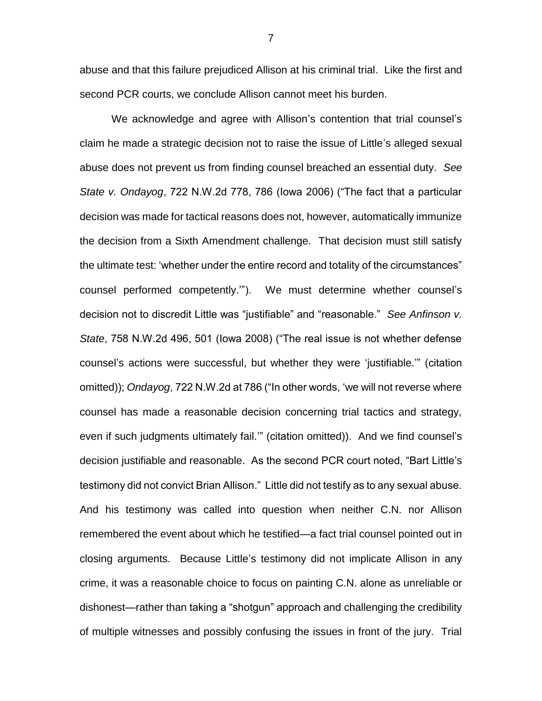abuse and that this failure prejudiced Allison at his criminal trial. Like the first and second PCR courts, we conclude Allison cannot meet his burden.

We acknowledge and agree with Allison's contention that trial counsel's claim he made a strategic decision not to raise the issue of Little's alleged sexual abuse does not prevent us from finding counsel breached an essential duty. *See State v. Ondayog*, 722 N.W.2d 778, 786 (Iowa 2006) ("The fact that a particular decision was made for tactical reasons does not, however, automatically immunize the decision from a Sixth Amendment challenge. That decision must still satisfy the ultimate test: 'whether under the entire record and totality of the circumstances" counsel performed competently.'"). We must determine whether counsel's decision not to discredit Little was "justifiable" and "reasonable." *See Anfinson v. State*, 758 N.W.2d 496, 501 (Iowa 2008) ("The real issue is not whether defense counsel's actions were successful, but whether they were 'justifiable.'" (citation omitted)); *Ondayog*, 722 N.W.2d at 786 ("In other words, 'we will not reverse where counsel has made a reasonable decision concerning trial tactics and strategy, even if such judgments ultimately fail.'" (citation omitted)). And we find counsel's decision justifiable and reasonable. As the second PCR court noted, "Bart Little's testimony did not convict Brian Allison." Little did not testify as to any sexual abuse. And his testimony was called into question when neither C.N. nor Allison remembered the event about which he testified—a fact trial counsel pointed out in closing arguments. Because Little's testimony did not implicate Allison in any crime, it was a reasonable choice to focus on painting C.N. alone as unreliable or dishonest—rather than taking a "shotgun" approach and challenging the credibility of multiple witnesses and possibly confusing the issues in front of the jury. Trial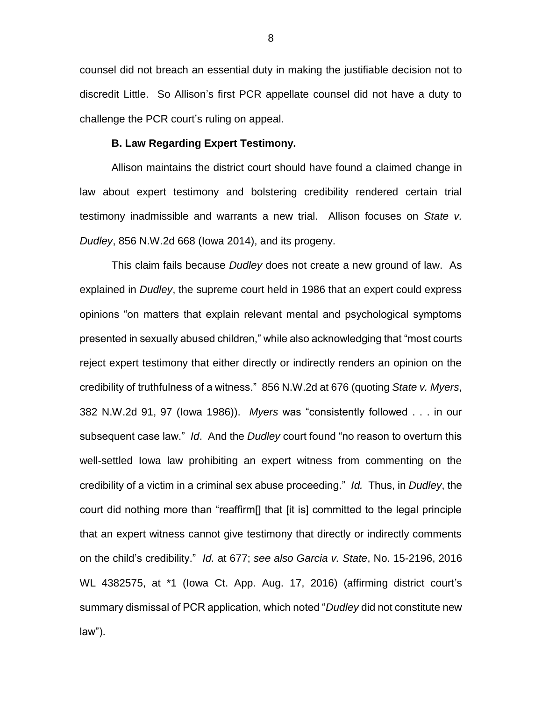counsel did not breach an essential duty in making the justifiable decision not to discredit Little. So Allison's first PCR appellate counsel did not have a duty to challenge the PCR court's ruling on appeal.

## **B. Law Regarding Expert Testimony.**

Allison maintains the district court should have found a claimed change in law about expert testimony and bolstering credibility rendered certain trial testimony inadmissible and warrants a new trial. Allison focuses on *State v. Dudley*, 856 N.W.2d 668 (Iowa 2014), and its progeny.

This claim fails because *Dudley* does not create a new ground of law. As explained in *Dudley*, the supreme court held in 1986 that an expert could express opinions "on matters that explain relevant mental and psychological symptoms presented in sexually abused children," while also acknowledging that "most courts reject expert testimony that either directly or indirectly renders an opinion on the credibility of truthfulness of a witness." 856 N.W.2d at 676 (quoting *State v. Myers*, 382 N.W.2d 91, 97 (Iowa 1986)). *Myers* was "consistently followed . . . in our subsequent case law." *Id*. And the *Dudley* court found "no reason to overturn this well-settled Iowa law prohibiting an expert witness from commenting on the credibility of a victim in a criminal sex abuse proceeding." *Id.* Thus, in *Dudley*, the court did nothing more than "reaffirm[] that [it is] committed to the legal principle that an expert witness cannot give testimony that directly or indirectly comments on the child's credibility." *Id.* at 677; *see also Garcia v. State*, No. 15-2196, 2016 WL 4382575, at \*1 (Iowa Ct. App. Aug. 17, 2016) (affirming district court's summary dismissal of PCR application, which noted "*Dudley* did not constitute new law").

8